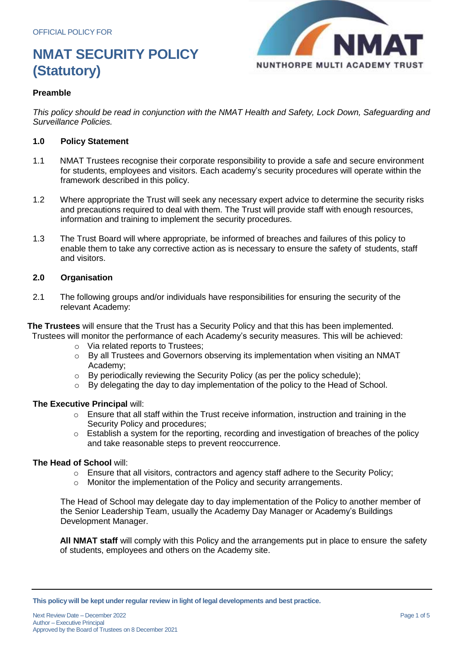

# **Preamble**

*This policy should be read in conjunction with the NMAT Health and Safety, Lock Down, Safeguarding and Surveillance Policies.*

### **1.0 Policy Statement**

- 1.1 NMAT Trustees recognise their corporate responsibility to provide a safe and secure environment for students, employees and visitors. Each academy's security procedures will operate within the framework described in this policy.
- 1.2 Where appropriate the Trust will seek any necessary expert advice to determine the security risks and precautions required to deal with them. The Trust will provide staff with enough resources, information and training to implement the security procedures.
- 1.3 The Trust Board will where appropriate, be informed of breaches and failures of this policy to enable them to take any corrective action as is necessary to ensure the safety of students, staff and visitors.

# **2.0 Organisation**

2.1 The following groups and/or individuals have responsibilities for ensuring the security of the relevant Academy:

**The Trustees** will ensure that the Trust has a Security Policy and that this has been implemented. Trustees will monitor the performance of each Academy's security measures. This will be achieved:

- o Via related reports to Trustees;
- o By all Trustees and Governors observing its implementation when visiting an NMAT Academy;
- o By periodically reviewing the Security Policy (as per the policy schedule);
- $\circ$  By delegating the day to day implementation of the policy to the Head of School.

# **The Executive Principal** will:

- o Ensure that all staff within the Trust receive information, instruction and training in the Security Policy and procedures;
- $\circ$  Establish a system for the reporting, recording and investigation of breaches of the policy and take reasonable steps to prevent reoccurrence.

#### **The Head of School** will:

- $\circ$  Ensure that all visitors, contractors and agency staff adhere to the Security Policy;
- Monitor the implementation of the Policy and security arrangements.

The Head of School may delegate day to day implementation of the Policy to another member of the Senior Leadership Team, usually the Academy Day Manager or Academy's Buildings Development Manager.

**All NMAT staff** will comply with this Policy and the arrangements put in place to ensure the safety of students, employees and others on the Academy site.

**This policy will be kept under regular review in light of legal developments and best practice.**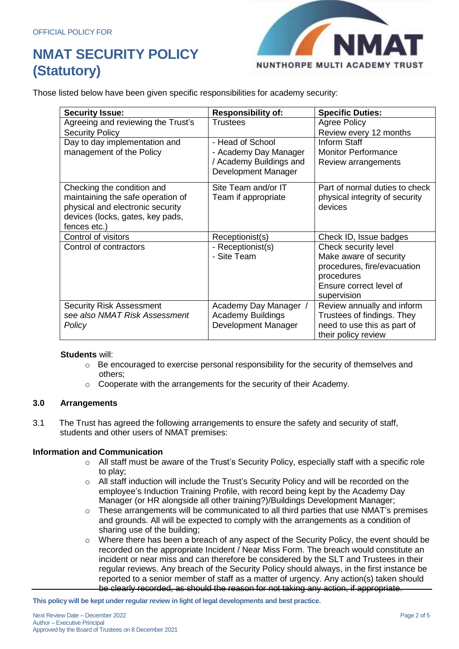

Those listed below have been given specific responsibilities for academy security:

| <b>Security Issue:</b>             | <b>Responsibility of:</b> | <b>Specific Duties:</b>        |
|------------------------------------|---------------------------|--------------------------------|
| Agreeing and reviewing the Trust's | <b>Trustees</b>           | <b>Agree Policy</b>            |
| <b>Security Policy</b>             |                           | Review every 12 months         |
| Day to day implementation and      | - Head of School          | Inform Staff                   |
| management of the Policy           | - Academy Day Manager     | <b>Monitor Performance</b>     |
|                                    | / Academy Buildings and   | Review arrangements            |
|                                    | Development Manager       |                                |
| Checking the condition and         | Site Team and/or IT       | Part of normal duties to check |
| maintaining the safe operation of  | Team if appropriate       | physical integrity of security |
| physical and electronic security   |                           | devices                        |
| devices (locks, gates, key pads,   |                           |                                |
| fences etc.)                       |                           |                                |
| Control of visitors                | Receptionist(s)           | Check ID, Issue badges         |
| Control of contractors             | - Receptionist(s)         | Check security level           |
|                                    | - Site Team               | Make aware of security         |
|                                    |                           | procedures, fire/evacuation    |
|                                    |                           | procedures                     |
|                                    |                           | Ensure correct level of        |
|                                    |                           | supervision                    |
| <b>Security Risk Assessment</b>    | Academy Day Manager /     | Review annually and inform     |
| see also NMAT Risk Assessment      | <b>Academy Buildings</b>  | Trustees of findings. They     |
| Policy                             | Development Manager       | need to use this as part of    |
|                                    |                           | their policy review            |

# **Students** will:

- $\circ$  Be encouraged to exercise personal responsibility for the security of themselves and others;
- o Cooperate with the arrangements for the security of their Academy.

# **3.0 Arrangements**

3.1 The Trust has agreed the following arrangements to ensure the safety and security of staff, students and other users of NMAT premises:

#### **Information and Communication**

- o All staff must be aware of the Trust's Security Policy, especially staff with a specific role to play;
- o All staff induction will include the Trust's Security Policy and will be recorded on the employee's Induction Training Profile, with record being kept by the Academy Day Manager (or HR alongside all other training?)/Buildings Development Manager;
- $\circ$  These arrangements will be communicated to all third parties that use NMAT's premises and grounds. All will be expected to comply with the arrangements as a condition of sharing use of the building;
- o Where there has been a breach of any aspect of the Security Policy, the event should be recorded on the appropriate Incident / Near Miss Form. The breach would constitute an incident or near miss and can therefore be considered by the SLT and Trustees in their regular reviews. Any breach of the Security Policy should always, in the first instance be reported to a senior member of staff as a matter of urgency. Any action(s) taken should be clearly recorded, as should the reason for not taking any action, if appropriate.

**This policy will be kept under regular review in light of legal developments and best practice.**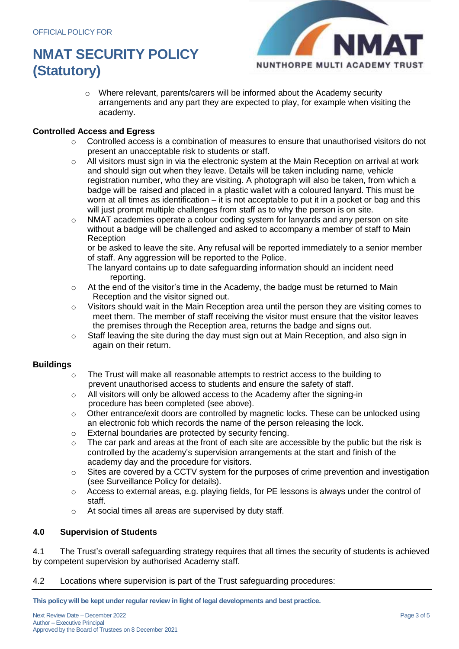

 $\circ$  Where relevant, parents/carers will be informed about the Academy security arrangements and any part they are expected to play, for example when visiting the academy.

# **Controlled Access and Egress**

- $\circ$  Controlled access is a combination of measures to ensure that unauthorised visitors do not present an unacceptable risk to students or staff.
- $\circ$  All visitors must sign in via the electronic system at the Main Reception on arrival at work and should sign out when they leave. Details will be taken including name, vehicle registration number, who they are visiting. A photograph will also be taken, from which a badge will be raised and placed in a plastic wallet with a coloured lanyard. This must be worn at all times as identification – it is not acceptable to put it in a pocket or bag and this will just prompt multiple challenges from staff as to why the person is on site.
- $\circ$  NMAT academies operate a colour coding system for lanyards and any person on site without a badge will be challenged and asked to accompany a member of staff to Main Reception

or be asked to leave the site. Any refusal will be reported immediately to a senior member of staff. Any aggression will be reported to the Police.

- The lanyard contains up to date safeguarding information should an incident need reporting.
- o At the end of the visitor's time in the Academy, the badge must be returned to Main Reception and the visitor signed out.
- $\circ$  Visitors should wait in the Main Reception area until the person they are visiting comes to meet them. The member of staff receiving the visitor must ensure that the visitor leaves the premises through the Reception area, returns the badge and signs out.
- $\circ$  Staff leaving the site during the day must sign out at Main Reception, and also sign in again on their return.

# **Buildings**

- $\circ$  The Trust will make all reasonable attempts to restrict access to the building to prevent unauthorised access to students and ensure the safety of staff.
- $\circ$  All visitors will only be allowed access to the Academy after the signing-in procedure has been completed (see above).
- o Other entrance/exit doors are controlled by magnetic locks. These can be unlocked using an electronic fob which records the name of the person releasing the lock.
- o External boundaries are protected by security fencing.
- $\circ$  The car park and areas at the front of each site are accessible by the public but the risk is controlled by the academy's supervision arrangements at the start and finish of the academy day and the procedure for visitors.
- $\circ$  Sites are covered by a CCTV system for the purposes of crime prevention and investigation (see Surveillance Policy for details).
- $\circ$  Access to external areas, e.g. playing fields, for PE lessons is always under the control of staff.
- o At social times all areas are supervised by duty staff.

# **4.0 Supervision of Students**

4.1 The Trust's overall safeguarding strategy requires that all times the security of students is achieved by competent supervision by authorised Academy staff.

4.2 Locations where supervision is part of the Trust safeguarding procedures:

**This policy will be kept under regular review in light of legal developments and best practice.**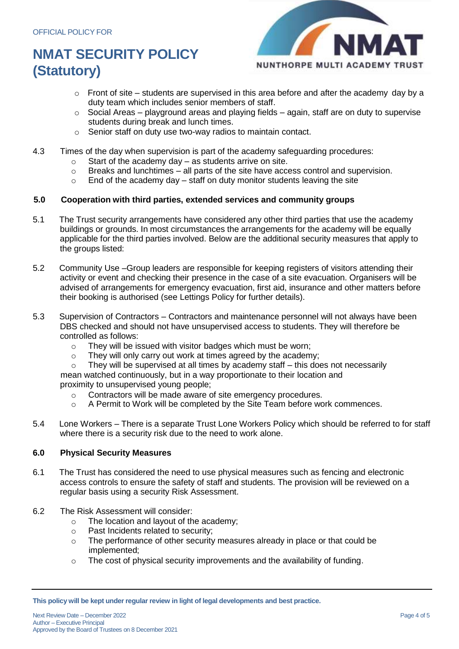

- $\circ$  Front of site students are supervised in this area before and after the academy day by a duty team which includes senior members of staff.
- $\circ$  Social Areas playground areas and playing fields again, staff are on duty to supervise students during break and lunch times.
- o Senior staff on duty use two-way radios to maintain contact.
- 4.3 Times of the day when supervision is part of the academy safeguarding procedures:
	- $\circ$  Start of the academy day as students arrive on site.
	- $\circ$  Breaks and lunchtimes all parts of the site have access control and supervision.
	- $\circ$  End of the academy day staff on duty monitor students leaving the site

# **5.0 Cooperation with third parties, extended services and community groups**

- 5.1 The Trust security arrangements have considered any other third parties that use the academy buildings or grounds. In most circumstances the arrangements for the academy will be equally applicable for the third parties involved. Below are the additional security measures that apply to the groups listed:
- 5.2 Community Use –Group leaders are responsible for keeping registers of visitors attending their activity or event and checking their presence in the case of a site evacuation. Organisers will be advised of arrangements for emergency evacuation, first aid, insurance and other matters before their booking is authorised (see Lettings Policy for further details).
- 5.3 Supervision of Contractors Contractors and maintenance personnel will not always have been DBS checked and should not have unsupervised access to students. They will therefore be controlled as follows:
	- o They will be issued with visitor badges which must be worn;
	- o They will only carry out work at times agreed by the academy;
	- $\circ$  They will be supervised at all times by academy staff this does not necessarily

mean watched continuously, but in a way proportionate to their location and proximity to unsupervised young people;

- o Contractors will be made aware of site emergency procedures.
- o A Permit to Work will be completed by the Site Team before work commences.
- 5.4 Lone Workers There is a separate Trust Lone Workers Policy which should be referred to for staff where there is a security risk due to the need to work alone.

# **6.0 Physical Security Measures**

- 6.1 The Trust has considered the need to use physical measures such as fencing and electronic access controls to ensure the safety of staff and students. The provision will be reviewed on a regular basis using a security Risk Assessment.
- 6.2 The Risk Assessment will consider:
	- o The location and layout of the academy;
	- o Past Incidents related to security;
	- $\circ$  The performance of other security measures already in place or that could be implemented;
	- $\circ$  The cost of physical security improvements and the availability of funding.

**This policy will be kept under regular review in light of legal developments and best practice.**